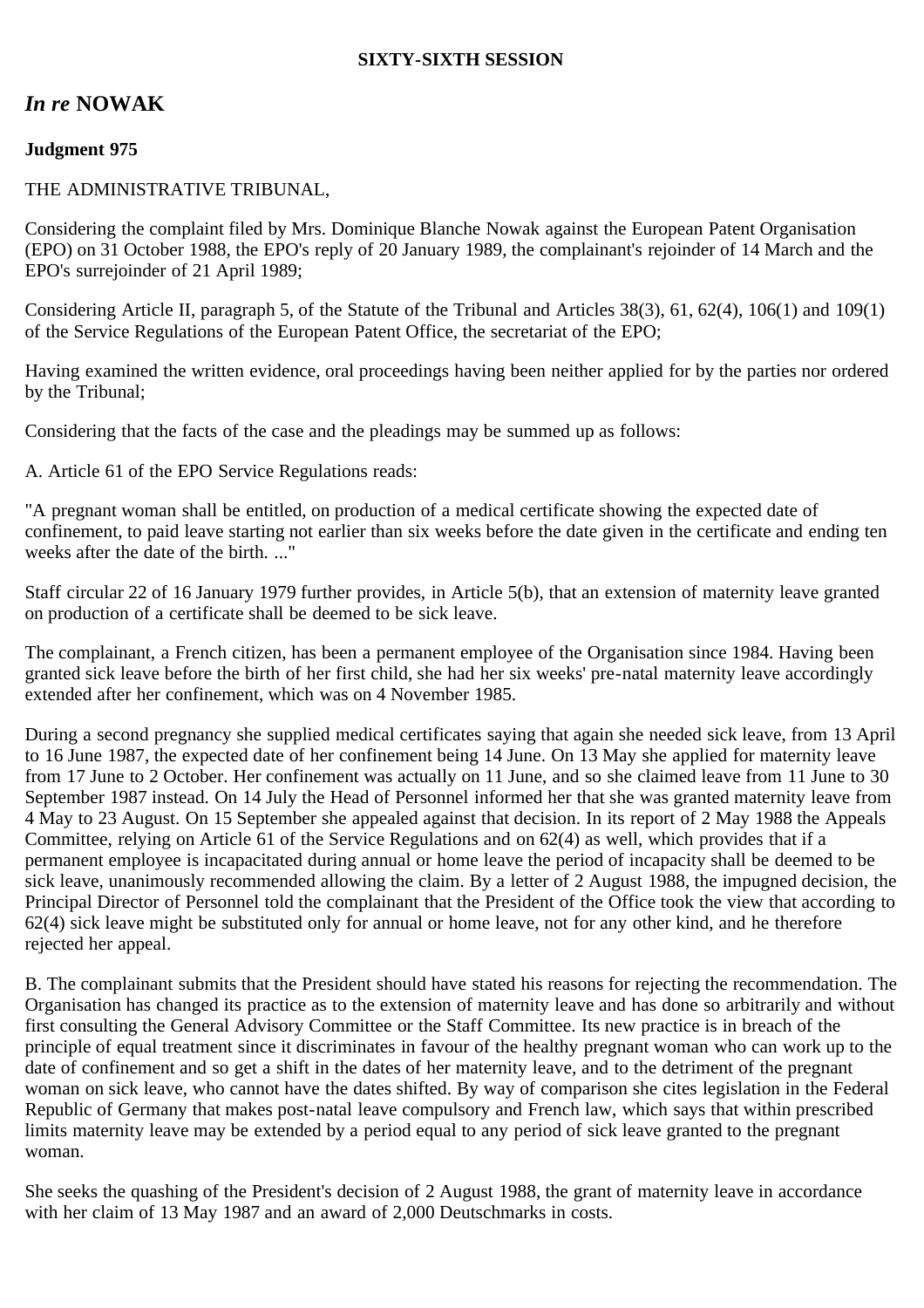## **SIXTY-SIXTH SESSION**

## *In re* **NOWAK**

## **Judgment 975**

## THE ADMINISTRATIVE TRIBUNAL,

Considering the complaint filed by Mrs. Dominique Blanche Nowak against the European Patent Organisation (EPO) on 31 October 1988, the EPO's reply of 20 January 1989, the complainant's rejoinder of 14 March and the EPO's surrejoinder of 21 April 1989;

Considering Article II, paragraph 5, of the Statute of the Tribunal and Articles 38(3), 61, 62(4), 106(1) and 109(1) of the Service Regulations of the European Patent Office, the secretariat of the EPO;

Having examined the written evidence, oral proceedings having been neither applied for by the parties nor ordered by the Tribunal;

Considering that the facts of the case and the pleadings may be summed up as follows:

A. Article 61 of the EPO Service Regulations reads:

"A pregnant woman shall be entitled, on production of a medical certificate showing the expected date of confinement, to paid leave starting not earlier than six weeks before the date given in the certificate and ending ten weeks after the date of the birth. ..."

Staff circular 22 of 16 January 1979 further provides, in Article 5(b), that an extension of maternity leave granted on production of a certificate shall be deemed to be sick leave.

The complainant, a French citizen, has been a permanent employee of the Organisation since 1984. Having been granted sick leave before the birth of her first child, she had her six weeks' pre-natal maternity leave accordingly extended after her confinement, which was on 4 November 1985.

During a second pregnancy she supplied medical certificates saying that again she needed sick leave, from 13 April to 16 June 1987, the expected date of her confinement being 14 June. On 13 May she applied for maternity leave from 17 June to 2 October. Her confinement was actually on 11 June, and so she claimed leave from 11 June to 30 September 1987 instead. On 14 July the Head of Personnel informed her that she was granted maternity leave from 4 May to 23 August. On 15 September she appealed against that decision. In its report of 2 May 1988 the Appeals Committee, relying on Article 61 of the Service Regulations and on 62(4) as well, which provides that if a permanent employee is incapacitated during annual or home leave the period of incapacity shall be deemed to be sick leave, unanimously recommended allowing the claim. By a letter of 2 August 1988, the impugned decision, the Principal Director of Personnel told the complainant that the President of the Office took the view that according to 62(4) sick leave might be substituted only for annual or home leave, not for any other kind, and he therefore rejected her appeal.

B. The complainant submits that the President should have stated his reasons for rejecting the recommendation. The Organisation has changed its practice as to the extension of maternity leave and has done so arbitrarily and without first consulting the General Advisory Committee or the Staff Committee. Its new practice is in breach of the principle of equal treatment since it discriminates in favour of the healthy pregnant woman who can work up to the date of confinement and so get a shift in the dates of her maternity leave, and to the detriment of the pregnant woman on sick leave, who cannot have the dates shifted. By way of comparison she cites legislation in the Federal Republic of Germany that makes post-natal leave compulsory and French law, which says that within prescribed limits maternity leave may be extended by a period equal to any period of sick leave granted to the pregnant woman.

She seeks the quashing of the President's decision of 2 August 1988, the grant of maternity leave in accordance with her claim of 13 May 1987 and an award of 2,000 Deutschmarks in costs.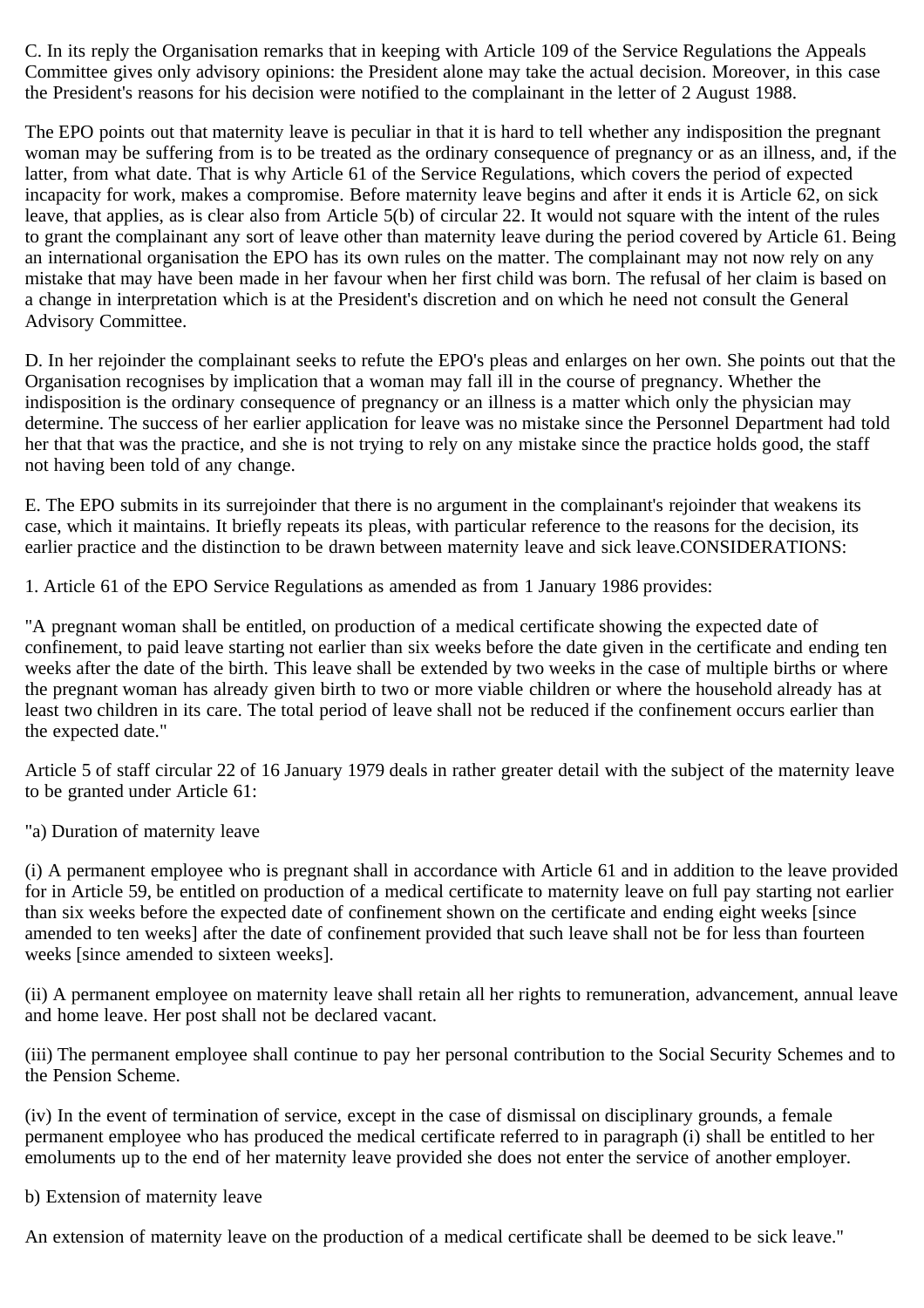C. In its reply the Organisation remarks that in keeping with Article 109 of the Service Regulations the Appeals Committee gives only advisory opinions: the President alone may take the actual decision. Moreover, in this case the President's reasons for his decision were notified to the complainant in the letter of 2 August 1988.

The EPO points out that maternity leave is peculiar in that it is hard to tell whether any indisposition the pregnant woman may be suffering from is to be treated as the ordinary consequence of pregnancy or as an illness, and, if the latter, from what date. That is why Article 61 of the Service Regulations, which covers the period of expected incapacity for work, makes a compromise. Before maternity leave begins and after it ends it is Article 62, on sick leave, that applies, as is clear also from Article 5(b) of circular 22. It would not square with the intent of the rules to grant the complainant any sort of leave other than maternity leave during the period covered by Article 61. Being an international organisation the EPO has its own rules on the matter. The complainant may not now rely on any mistake that may have been made in her favour when her first child was born. The refusal of her claim is based on a change in interpretation which is at the President's discretion and on which he need not consult the General Advisory Committee.

D. In her rejoinder the complainant seeks to refute the EPO's pleas and enlarges on her own. She points out that the Organisation recognises by implication that a woman may fall ill in the course of pregnancy. Whether the indisposition is the ordinary consequence of pregnancy or an illness is a matter which only the physician may determine. The success of her earlier application for leave was no mistake since the Personnel Department had told her that that was the practice, and she is not trying to rely on any mistake since the practice holds good, the staff not having been told of any change.

E. The EPO submits in its surrejoinder that there is no argument in the complainant's rejoinder that weakens its case, which it maintains. It briefly repeats its pleas, with particular reference to the reasons for the decision, its earlier practice and the distinction to be drawn between maternity leave and sick leave.CONSIDERATIONS:

1. Article 61 of the EPO Service Regulations as amended as from 1 January 1986 provides:

"A pregnant woman shall be entitled, on production of a medical certificate showing the expected date of confinement, to paid leave starting not earlier than six weeks before the date given in the certificate and ending ten weeks after the date of the birth. This leave shall be extended by two weeks in the case of multiple births or where the pregnant woman has already given birth to two or more viable children or where the household already has at least two children in its care. The total period of leave shall not be reduced if the confinement occurs earlier than the expected date."

Article 5 of staff circular 22 of 16 January 1979 deals in rather greater detail with the subject of the maternity leave to be granted under Article 61:

"a) Duration of maternity leave

(i) A permanent employee who is pregnant shall in accordance with Article 61 and in addition to the leave provided for in Article 59, be entitled on production of a medical certificate to maternity leave on full pay starting not earlier than six weeks before the expected date of confinement shown on the certificate and ending eight weeks [since amended to ten weeks] after the date of confinement provided that such leave shall not be for less than fourteen weeks [since amended to sixteen weeks].

(ii) A permanent employee on maternity leave shall retain all her rights to remuneration, advancement, annual leave and home leave. Her post shall not be declared vacant.

(iii) The permanent employee shall continue to pay her personal contribution to the Social Security Schemes and to the Pension Scheme.

(iv) In the event of termination of service, except in the case of dismissal on disciplinary grounds, a female permanent employee who has produced the medical certificate referred to in paragraph (i) shall be entitled to her emoluments up to the end of her maternity leave provided she does not enter the service of another employer.

b) Extension of maternity leave

An extension of maternity leave on the production of a medical certificate shall be deemed to be sick leave."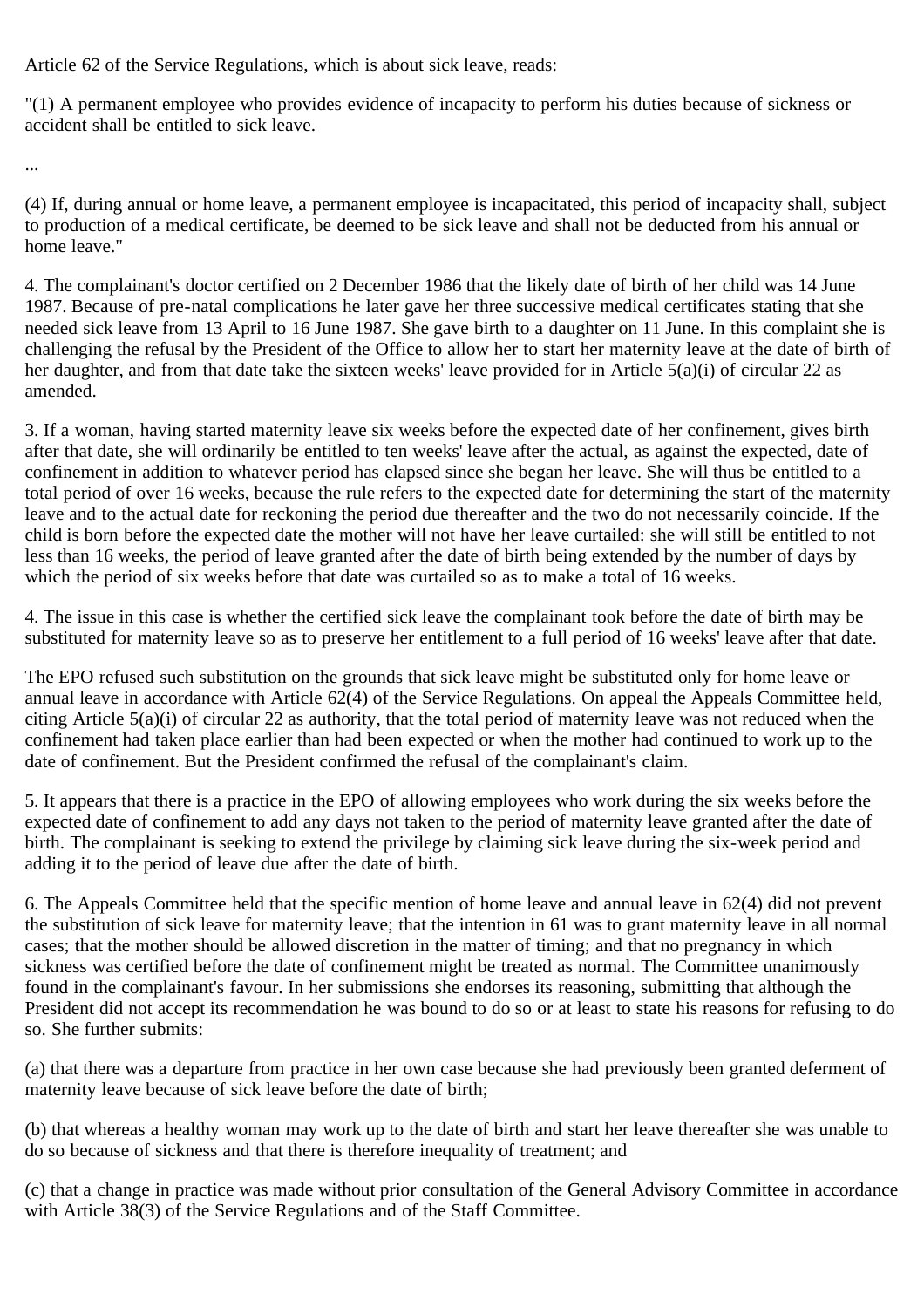Article 62 of the Service Regulations, which is about sick leave, reads:

"(1) A permanent employee who provides evidence of incapacity to perform his duties because of sickness or accident shall be entitled to sick leave.

...

(4) If, during annual or home leave, a permanent employee is incapacitated, this period of incapacity shall, subject to production of a medical certificate, be deemed to be sick leave and shall not be deducted from his annual or home leave."

4. The complainant's doctor certified on 2 December 1986 that the likely date of birth of her child was 14 June 1987. Because of pre-natal complications he later gave her three successive medical certificates stating that she needed sick leave from 13 April to 16 June 1987. She gave birth to a daughter on 11 June. In this complaint she is challenging the refusal by the President of the Office to allow her to start her maternity leave at the date of birth of her daughter, and from that date take the sixteen weeks' leave provided for in Article 5(a)(i) of circular 22 as amended.

3. If a woman, having started maternity leave six weeks before the expected date of her confinement, gives birth after that date, she will ordinarily be entitled to ten weeks' leave after the actual, as against the expected, date of confinement in addition to whatever period has elapsed since she began her leave. She will thus be entitled to a total period of over 16 weeks, because the rule refers to the expected date for determining the start of the maternity leave and to the actual date for reckoning the period due thereafter and the two do not necessarily coincide. If the child is born before the expected date the mother will not have her leave curtailed: she will still be entitled to not less than 16 weeks, the period of leave granted after the date of birth being extended by the number of days by which the period of six weeks before that date was curtailed so as to make a total of 16 weeks.

4. The issue in this case is whether the certified sick leave the complainant took before the date of birth may be substituted for maternity leave so as to preserve her entitlement to a full period of 16 weeks' leave after that date.

The EPO refused such substitution on the grounds that sick leave might be substituted only for home leave or annual leave in accordance with Article 62(4) of the Service Regulations. On appeal the Appeals Committee held, citing Article 5(a)(i) of circular 22 as authority, that the total period of maternity leave was not reduced when the confinement had taken place earlier than had been expected or when the mother had continued to work up to the date of confinement. But the President confirmed the refusal of the complainant's claim.

5. It appears that there is a practice in the EPO of allowing employees who work during the six weeks before the expected date of confinement to add any days not taken to the period of maternity leave granted after the date of birth. The complainant is seeking to extend the privilege by claiming sick leave during the six-week period and adding it to the period of leave due after the date of birth.

6. The Appeals Committee held that the specific mention of home leave and annual leave in 62(4) did not prevent the substitution of sick leave for maternity leave; that the intention in 61 was to grant maternity leave in all normal cases; that the mother should be allowed discretion in the matter of timing; and that no pregnancy in which sickness was certified before the date of confinement might be treated as normal. The Committee unanimously found in the complainant's favour. In her submissions she endorses its reasoning, submitting that although the President did not accept its recommendation he was bound to do so or at least to state his reasons for refusing to do so. She further submits:

(a) that there was a departure from practice in her own case because she had previously been granted deferment of maternity leave because of sick leave before the date of birth;

(b) that whereas a healthy woman may work up to the date of birth and start her leave thereafter she was unable to do so because of sickness and that there is therefore inequality of treatment; and

(c) that a change in practice was made without prior consultation of the General Advisory Committee in accordance with Article 38(3) of the Service Regulations and of the Staff Committee.